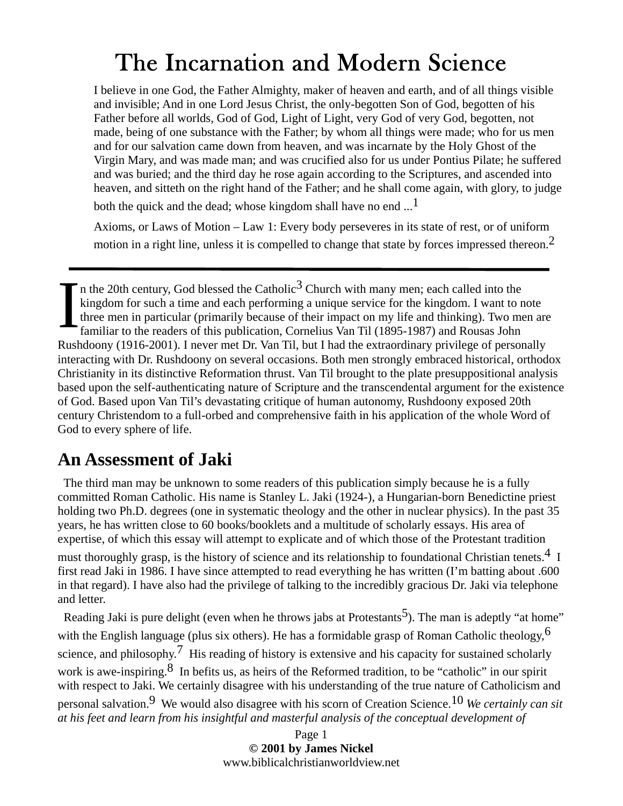I believe in one God, the Father Almighty, maker of heaven and earth, and of all things visible and invisible; And in one Lord Jesus Christ, the only-begotten Son of God, begotten of his Father before all worlds, God of God, Light of Light, very God of very God, begotten, not made, being of one substance with the Father; by whom all things were made; who for us men and for our salvation came down from heaven, and was incarnate by the Holy Ghost of the Virgin Mary, and was made man; and was crucified also for us under Pontius Pilate; he suffered and was buried; and the third day he rose again according to the Scriptures, and ascended into heaven, and sitteth on the right hand of the Father; and he shall come again, with glory, to judge

both the quick and the dead; whose kingdom shall have no end  $\ldots$ <sup>1</sup>

Axioms, or Laws of Motion – Law 1: Every body perseveres in its state of rest, or of uniform motion in a right line, unless it is compelled to change that state by forces impressed thereon.2

In the 20th century, God blessed the Catholic<sup>3</sup> Church with many men; each called into the kingdom for such a time and each performing a unique service for the kingdom. I want to refamiliar to the readers of this publica kingdom for such a time and each performing a unique service for the kingdom. I want to note three men in particular (primarily because of their impact on my life and thinking). Two men are familiar to the readers of this publication, Cornelius Van Til (1895-1987) and Rousas John Rushdoony (1916-2001). I never met Dr. Van Til, but I had the extraordinary privilege of personally interacting with Dr. Rushdoony on several occasions. Both men strongly embraced historical, orthodox Christianity in its distinctive Reformation thrust. Van Til brought to the plate presuppositional analysis based upon the self-authenticating nature of Scripture and the transcendental argument for the existence of God. Based upon Van Til's devastating critique of human autonomy, Rushdoony exposed 20th century Christendom to a full-orbed and comprehensive faith in his application of the whole Word of God to every sphere of life.

#### **An Assessment of Jaki**

 The third man may be unknown to some readers of this publication simply because he is a fully committed Roman Catholic. His name is Stanley L. Jaki (1924-), a Hungarian-born Benedictine priest holding two Ph.D. degrees (one in systematic theology and the other in nuclear physics). In the past 35 years, he has written close to 60 books/booklets and a multitude of scholarly essays. His area of expertise, of which this essay will attempt to explicate and of which those of the Protestant tradition must thoroughly grasp, is the history of science and its relationship to foundational Christian tenets.<sup>4</sup> I first read Jaki in 1986. I have since attempted to read everything he has written (I'm batting about .600 in that regard). I have also had the privilege of talking to the incredibly gracious Dr. Jaki via telephone and letter.

Reading Jaki is pure delight (even when he throws jabs at Protestants<sup>5</sup>). The man is adeptly "at home" with the English language (plus six others). He has a formidable grasp of Roman Catholic theology,  $\frac{6}{5}$ science, and philosophy.<sup>7</sup> His reading of history is extensive and his capacity for sustained scholarly work is awe-inspiring.  $\delta$  In befits us, as heirs of the Reformed tradition, to be "catholic" in our spirit with respect to Jaki. We certainly disagree with his understanding of the true nature of Catholicism and personal salvation.9 We would also disagree with his scorn of Creation Science.10 *We certainly can sit at his feet and learn from his insightful and masterful analysis of the conceptual development of* 

> Page 1 **© 2001 by James Nickel**  www.biblicalchristianworldview.net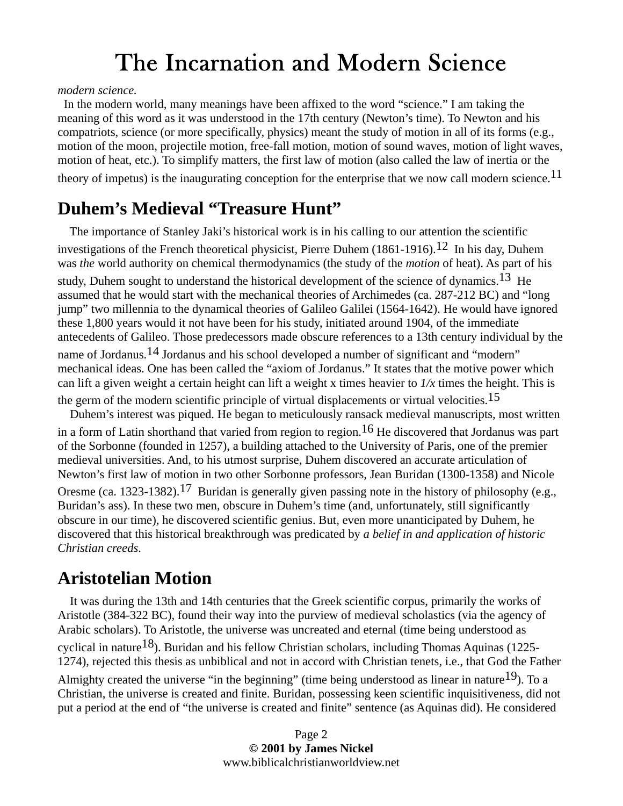*modern science.*

 In the modern world, many meanings have been affixed to the word "science." I am taking the meaning of this word as it was understood in the 17th century (Newton's time). To Newton and his compatriots, science (or more specifically, physics) meant the study of motion in all of its forms (e.g., motion of the moon, projectile motion, free-fall motion, motion of sound waves, motion of light waves, motion of heat, etc.). To simplify matters, the first law of motion (also called the law of inertia or the theory of impetus) is the inaugurating conception for the enterprise that we now call modern science.<sup>11</sup>

#### **Duhem's Medieval "Treasure Hunt"**

 The importance of Stanley Jaki's historical work is in his calling to our attention the scientific investigations of the French theoretical physicist, Pierre Duhem  $(1861-1916).^{12}$  In his day, Duhem was *the* world authority on chemical thermodynamics (the study of the *motion* of heat). As part of his study, Duhem sought to understand the historical development of the science of dynamics.<sup>13</sup> He assumed that he would start with the mechanical theories of Archimedes (ca. 287-212 BC) and "long jump" two millennia to the dynamical theories of Galileo Galilei (1564-1642). He would have ignored these 1,800 years would it not have been for his study, initiated around 1904, of the immediate antecedents of Galileo. Those predecessors made obscure references to a 13th century individual by the name of Jordanus.<sup>14</sup> Jordanus and his school developed a number of significant and "modern" mechanical ideas. One has been called the "axiom of Jordanus." It states that the motive power which can lift a given weight a certain height can lift a weight x times heavier to *1/x* times the height. This is the germ of the modern scientific principle of virtual displacements or virtual velocities.<sup>15</sup> Duhem's interest was piqued. He began to meticulously ransack medieval manuscripts, most written in a form of Latin shorthand that varied from region to region.16 He discovered that Jordanus was part of the Sorbonne (founded in 1257), a building attached to the University of Paris, one of the premier medieval universities. And, to his utmost surprise, Duhem discovered an accurate articulation of Newton's first law of motion in two other Sorbonne professors, Jean Buridan (1300-1358) and Nicole

Oresme (ca. 1323-1382).<sup>17</sup> Buridan is generally given passing note in the history of philosophy (e.g., Buridan's ass). In these two men, obscure in Duhem's time (and, unfortunately, still significantly obscure in our time), he discovered scientific genius. But, even more unanticipated by Duhem, he discovered that this historical breakthrough was predicated by *a belief in and application of historic Christian creeds*.

### **Aristotelian Motion**

 It was during the 13th and 14th centuries that the Greek scientific corpus, primarily the works of Aristotle (384-322 BC), found their way into the purview of medieval scholastics (via the agency of Arabic scholars). To Aristotle, the universe was uncreated and eternal (time being understood as cyclical in nature<sup>18</sup>). Buridan and his fellow Christian scholars, including Thomas Aquinas (1225-1274), rejected this thesis as unbiblical and not in accord with Christian tenets, i.e., that God the Father

Almighty created the universe "in the beginning" (time being understood as linear in nature  $^{19}$ ). To a Christian, the universe is created and finite. Buridan, possessing keen scientific inquisitiveness, did not put a period at the end of "the universe is created and finite" sentence (as Aquinas did). He considered

> Page 2 **© 2001 by James Nickel**  www.biblicalchristianworldview.net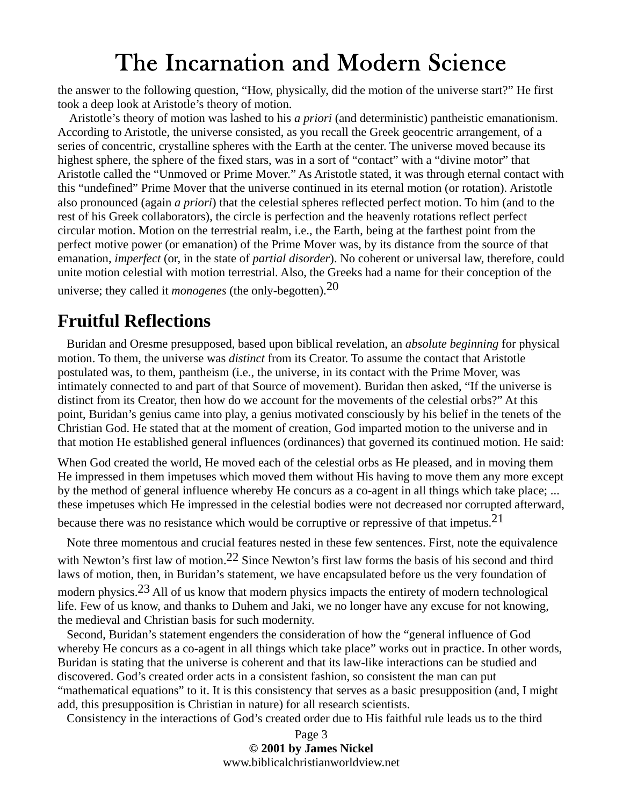the answer to the following question, "How, physically, did the motion of the universe start?" He first took a deep look at Aristotle's theory of motion.

 Aristotle's theory of motion was lashed to his *a priori* (and deterministic) pantheistic emanationism. According to Aristotle, the universe consisted, as you recall the Greek geocentric arrangement, of a series of concentric, crystalline spheres with the Earth at the center. The universe moved because its highest sphere, the sphere of the fixed stars, was in a sort of "contact" with a "divine motor" that Aristotle called the "Unmoved or Prime Mover." As Aristotle stated, it was through eternal contact with this "undefined" Prime Mover that the universe continued in its eternal motion (or rotation). Aristotle also pronounced (again *a priori*) that the celestial spheres reflected perfect motion. To him (and to the rest of his Greek collaborators), the circle is perfection and the heavenly rotations reflect perfect circular motion. Motion on the terrestrial realm, i.e., the Earth, being at the farthest point from the perfect motive power (or emanation) of the Prime Mover was, by its distance from the source of that emanation, *imperfect* (or, in the state of *partial disorder*). No coherent or universal law, therefore, could unite motion celestial with motion terrestrial. Also, the Greeks had a name for their conception of the

universe; they called it *monogenes* (the only-begotten).20

#### **Fruitful Reflections**

 Buridan and Oresme presupposed, based upon biblical revelation, an *absolute beginning* for physical motion. To them, the universe was *distinct* from its Creator. To assume the contact that Aristotle postulated was, to them, pantheism (i.e., the universe, in its contact with the Prime Mover, was intimately connected to and part of that Source of movement). Buridan then asked, "If the universe is distinct from its Creator, then how do we account for the movements of the celestial orbs?" At this point, Buridan's genius came into play, a genius motivated consciously by his belief in the tenets of the Christian God. He stated that at the moment of creation, God imparted motion to the universe and in that motion He established general influences (ordinances) that governed its continued motion. He said:

When God created the world, He moved each of the celestial orbs as He pleased, and in moving them He impressed in them impetuses which moved them without His having to move them any more except by the method of general influence whereby He concurs as a co-agent in all things which take place; ... these impetuses which He impressed in the celestial bodies were not decreased nor corrupted afterward,

because there was no resistance which would be corruptive or repressive of that impetus.<sup>21</sup>

 Note three momentous and crucial features nested in these few sentences. First, note the equivalence with Newton's first law of motion.<sup>22</sup> Since Newton's first law forms the basis of his second and third laws of motion, then, in Buridan's statement, we have encapsulated before us the very foundation of modern physics.<sup>23</sup> All of us know that modern physics impacts the entirety of modern technological life. Few of us know, and thanks to Duhem and Jaki, we no longer have any excuse for not knowing, the medieval and Christian basis for such modernity.

 Second, Buridan's statement engenders the consideration of how the "general influence of God whereby He concurs as a co-agent in all things which take place" works out in practice. In other words, Buridan is stating that the universe is coherent and that its law-like interactions can be studied and discovered. God's created order acts in a consistent fashion, so consistent the man can put "mathematical equations" to it. It is this consistency that serves as a basic presupposition (and, I might add, this presupposition is Christian in nature) for all research scientists.

Consistency in the interactions of God's created order due to His faithful rule leads us to the third

Page 3 **© 2001 by James Nickel**  www.biblicalchristianworldview.net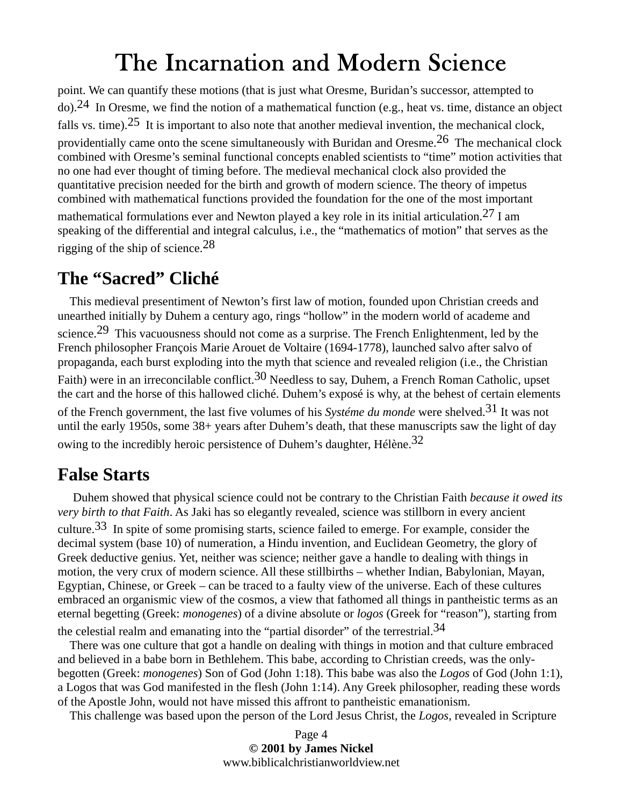point. We can quantify these motions (that is just what Oresme, Buridan's successor, attempted to do).<sup>24</sup> In Oresme, we find the notion of a mathematical function (e.g., heat vs. time, distance an object falls vs. time).<sup>25</sup> It is important to also note that another medieval invention, the mechanical clock, providentially came onto the scene simultaneously with Buridan and Oresme.<sup>26</sup> The mechanical clock combined with Oresme's seminal functional concepts enabled scientists to "time" motion activities that no one had ever thought of timing before. The medieval mechanical clock also provided the quantitative precision needed for the birth and growth of modern science. The theory of impetus combined with mathematical functions provided the foundation for the one of the most important mathematical formulations ever and Newton played a key role in its initial articulation.<sup>27</sup> I am speaking of the differential and integral calculus, i.e., the "mathematics of motion" that serves as the rigging of the ship of science.28

#### **The "Sacred" Cliché**

 This medieval presentiment of Newton's first law of motion, founded upon Christian creeds and unearthed initially by Duhem a century ago, rings "hollow" in the modern world of academe and science.<sup>29</sup> This vacuousness should not come as a surprise. The French Enlightenment, led by the French philosopher François Marie Arouet de Voltaire (1694-1778), launched salvo after salvo of propaganda, each burst exploding into the myth that science and revealed religion (i.e., the Christian Faith) were in an irreconcilable conflict.<sup>30</sup> Needless to say, Duhem, a French Roman Catholic, upset the cart and the horse of this hallowed cliché. Duhem's exposé is why, at the behest of certain elements of the French government, the last five volumes of his *Systéme du monde* were shelved.31 It was not until the early 1950s, some 38+ years after Duhem's death, that these manuscripts saw the light of day owing to the incredibly heroic persistence of Duhem's daughter, Hélène.<sup>32</sup>

#### **False Starts**

 Duhem showed that physical science could not be contrary to the Christian Faith *because it owed its very birth to that Faith*. As Jaki has so elegantly revealed, science was stillborn in every ancient culture.33 In spite of some promising starts, science failed to emerge. For example, consider the decimal system (base 10) of numeration, a Hindu invention, and Euclidean Geometry, the glory of Greek deductive genius. Yet, neither was science; neither gave a handle to dealing with things in motion, the very crux of modern science. All these stillbirths – whether Indian, Babylonian, Mayan, Egyptian, Chinese, or Greek – can be traced to a faulty view of the universe. Each of these cultures embraced an organismic view of the cosmos, a view that fathomed all things in pantheistic terms as an eternal begetting (Greek: *monogenes*) of a divine absolute or *logos* (Greek for "reason"), starting from the celestial realm and emanating into the "partial disorder" of the terrestrial.  $34$ 

 There was one culture that got a handle on dealing with things in motion and that culture embraced and believed in a babe born in Bethlehem. This babe, according to Christian creeds, was the onlybegotten (Greek: *monogenes*) Son of God (John 1:18). This babe was also the *Logos* of God (John 1:1), a Logos that was God manifested in the flesh (John 1:14). Any Greek philosopher, reading these words of the Apostle John, would not have missed this affront to pantheistic emanationism.

This challenge was based upon the person of the Lord Jesus Christ, the *Logos*, revealed in Scripture

Page 4 **© 2001 by James Nickel**  www.biblicalchristianworldview.net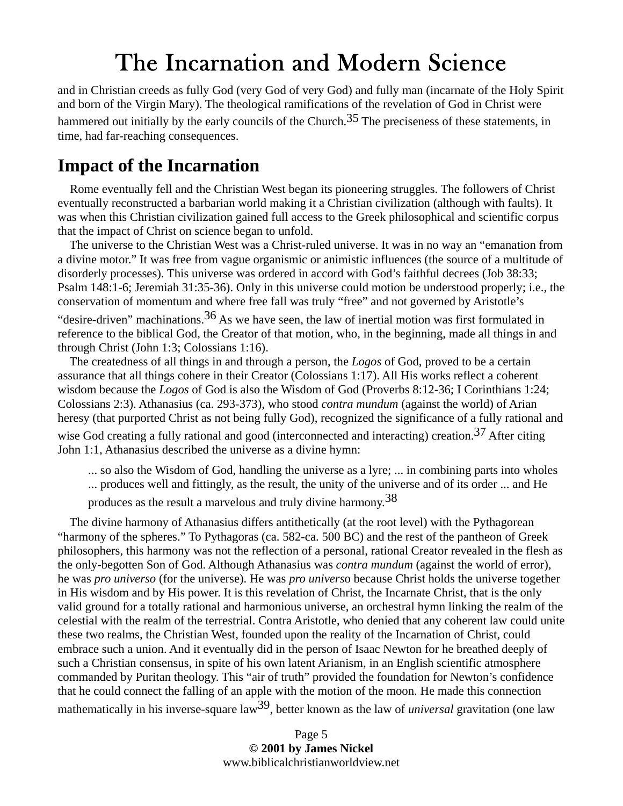and in Christian creeds as fully God (very God of very God) and fully man (incarnate of the Holy Spirit and born of the Virgin Mary). The theological ramifications of the revelation of God in Christ were hammered out initially by the early councils of the Church.<sup>35</sup> The preciseness of these statements, in time, had far-reaching consequences.

### **Impact of the Incarnation**

 Rome eventually fell and the Christian West began its pioneering struggles. The followers of Christ eventually reconstructed a barbarian world making it a Christian civilization (although with faults). It was when this Christian civilization gained full access to the Greek philosophical and scientific corpus that the impact of Christ on science began to unfold.

 The universe to the Christian West was a Christ-ruled universe. It was in no way an "emanation from a divine motor." It was free from vague organismic or animistic influences (the source of a multitude of disorderly processes). This universe was ordered in accord with God's faithful decrees (Job 38:33; Psalm 148:1-6; Jeremiah 31:35-36). Only in this universe could motion be understood properly; i.e., the conservation of momentum and where free fall was truly "free" and not governed by Aristotle's

"desire-driven" machinations.<sup>36</sup> As we have seen, the law of inertial motion was first formulated in reference to the biblical God, the Creator of that motion, who, in the beginning, made all things in and through Christ (John 1:3; Colossians 1:16).

 The createdness of all things in and through a person, the *Logos* of God, proved to be a certain assurance that all things cohere in their Creator (Colossians 1:17). All His works reflect a coherent wisdom because the *Logos* of God is also the Wisdom of God (Proverbs 8:12-36; I Corinthians 1:24; Colossians 2:3). Athanasius (ca. 293-373), who stood *contra mundum* (against the world) of Arian heresy (that purported Christ as not being fully God), recognized the significance of a fully rational and wise God creating a fully rational and good (interconnected and interacting) creation.<sup>37</sup> After citing John 1:1, Athanasius described the universe as a divine hymn:

... so also the Wisdom of God, handling the universe as a lyre; ... in combining parts into wholes

- ... produces well and fittingly, as the result, the unity of the universe and of its order ... and He
- produces as the result a marvelous and truly divine harmony.38

 The divine harmony of Athanasius differs antithetically (at the root level) with the Pythagorean "harmony of the spheres." To Pythagoras (ca. 582-ca. 500 BC) and the rest of the pantheon of Greek philosophers, this harmony was not the reflection of a personal, rational Creator revealed in the flesh as the only-begotten Son of God. Although Athanasius was *contra mundum* (against the world of error), he was *pro universo* (for the universe). He was *pro univers*o because Christ holds the universe together in His wisdom and by His power. It is this revelation of Christ, the Incarnate Christ, that is the only valid ground for a totally rational and harmonious universe, an orchestral hymn linking the realm of the celestial with the realm of the terrestrial. Contra Aristotle, who denied that any coherent law could unite these two realms, the Christian West, founded upon the reality of the Incarnation of Christ, could embrace such a union. And it eventually did in the person of Isaac Newton for he breathed deeply of such a Christian consensus, in spite of his own latent Arianism, in an English scientific atmosphere commanded by Puritan theology. This "air of truth" provided the foundation for Newton's confidence that he could connect the falling of an apple with the motion of the moon. He made this connection mathematically in his inverse-square law39, better known as the law of *universal* gravitation (one law

> Page 5 **© 2001 by James Nickel**  www.biblicalchristianworldview.net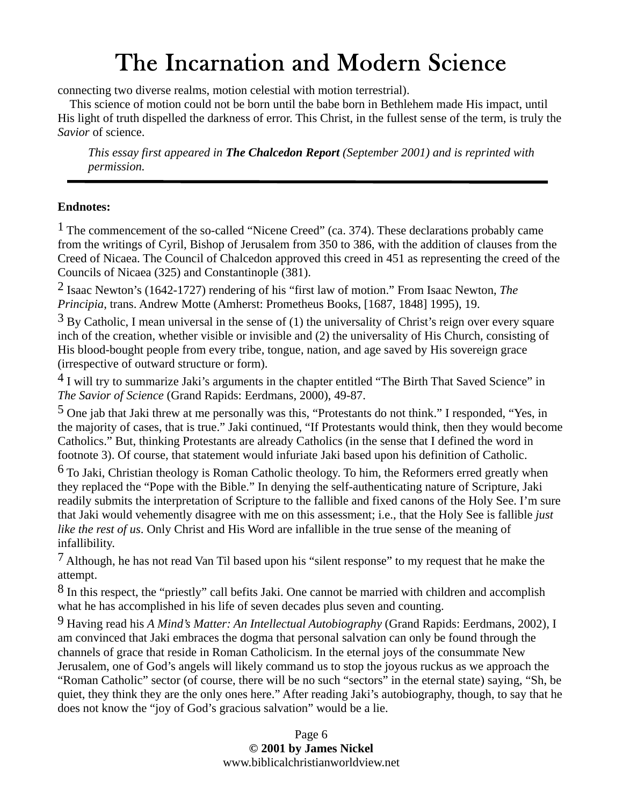connecting two diverse realms, motion celestial with motion terrestrial).

 This science of motion could not be born until the babe born in Bethlehem made His impact, until His light of truth dispelled the darkness of error. This Christ, in the fullest sense of the term, is truly the *Savior* of science.

*This essay first appeared in The Chalcedon Report (September 2001) and is reprinted with permission.*

#### **Endnotes:**

<sup>1</sup> The commencement of the so-called "Nicene Creed" (ca. 374). These declarations probably came from the writings of Cyril, Bishop of Jerusalem from 350 to 386, with the addition of clauses from the Creed of Nicaea. The Council of Chalcedon approved this creed in 451 as representing the creed of the Councils of Nicaea (325) and Constantinople (381).

2 Isaac Newton's (1642-1727) rendering of his "first law of motion." From Isaac Newton, *The Principia*, trans. Andrew Motte (Amherst: Prometheus Books, [1687, 1848] 1995), 19.

 $3$  By Catholic, I mean universal in the sense of (1) the universality of Christ's reign over every square inch of the creation, whether visible or invisible and (2) the universality of His Church, consisting of His blood-bought people from every tribe, tongue, nation, and age saved by His sovereign grace (irrespective of outward structure or form).

4 I will try to summarize Jaki's arguments in the chapter entitled "The Birth That Saved Science" in *The Savior of Science* (Grand Rapids: Eerdmans, 2000), 49-87.

5 One jab that Jaki threw at me personally was this, "Protestants do not think." I responded, "Yes, in the majority of cases, that is true." Jaki continued, "If Protestants would think, then they would become Catholics." But, thinking Protestants are already Catholics (in the sense that I defined the word in footnote 3). Of course, that statement would infuriate Jaki based upon his definition of Catholic.

6 To Jaki, Christian theology is Roman Catholic theology. To him, the Reformers erred greatly when they replaced the "Pope with the Bible." In denying the self-authenticating nature of Scripture, Jaki readily submits the interpretation of Scripture to the fallible and fixed canons of the Holy See. I'm sure that Jaki would vehemently disagree with me on this assessment; i.e., that the Holy See is fallible *just like the rest of us*. Only Christ and His Word are infallible in the true sense of the meaning of infallibility.

7 Although, he has not read Van Til based upon his "silent response" to my request that he make the attempt.

8 In this respect, the "priestly" call befits Jaki. One cannot be married with children and accomplish what he has accomplished in his life of seven decades plus seven and counting.

9 Having read his *A Mind's Matter: An Intellectual Autobiography* (Grand Rapids: Eerdmans, 2002), I am convinced that Jaki embraces the dogma that personal salvation can only be found through the channels of grace that reside in Roman Catholicism. In the eternal joys of the consummate New Jerusalem, one of God's angels will likely command us to stop the joyous ruckus as we approach the "Roman Catholic" sector (of course, there will be no such "sectors" in the eternal state) saying, "Sh, be quiet, they think they are the only ones here." After reading Jaki's autobiography, though, to say that he does not know the "joy of God's gracious salvation" would be a lie.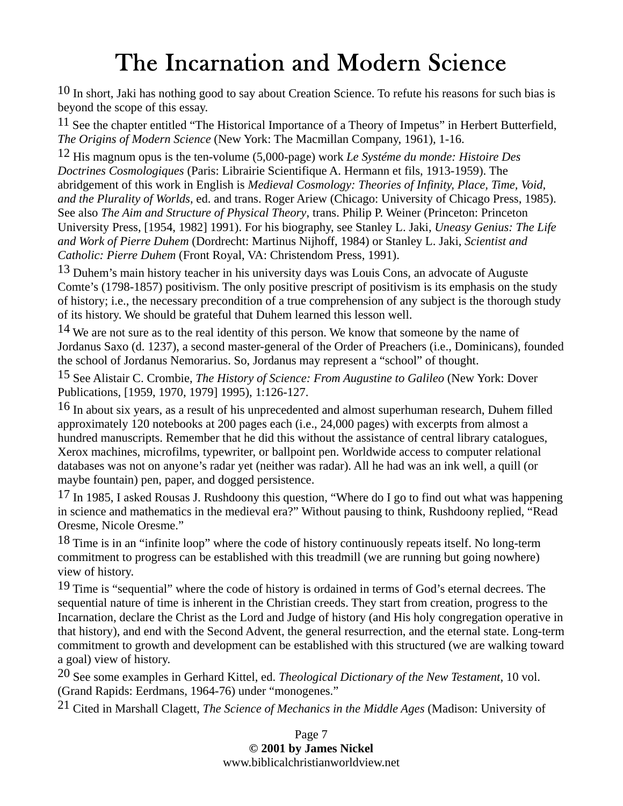10 In short, Jaki has nothing good to say about Creation Science. To refute his reasons for such bias is beyond the scope of this essay.

 $11$  See the chapter entitled "The Historical Importance of a Theory of Impetus" in Herbert Butterfield, *The Origins of Modern Science* (New York: The Macmillan Company, 1961), 1-16.

12 His magnum opus is the ten-volume (5,000-page) work *Le Systéme du monde: Histoire Des Doctrines Cosmologiques* (Paris: Librairie Scientifique A. Hermann et fils, 1913-1959). The abridgement of this work in English is *Medieval Cosmology: Theories of Infinity, Place, Time, Void, and the Plurality of Worlds*, ed. and trans. Roger Ariew (Chicago: University of Chicago Press, 1985). See also *The Aim and Structure of Physical Theory*, trans. Philip P. Weiner (Princeton: Princeton University Press, [1954, 1982] 1991). For his biography, see Stanley L. Jaki, *Uneasy Genius: The Life and Work of Pierre Duhem* (Dordrecht: Martinus Nijhoff, 1984) or Stanley L. Jaki, *Scientist and Catholic: Pierre Duhem* (Front Royal, VA: Christendom Press, 1991).

13 Duhem's main history teacher in his university days was Louis Cons, an advocate of Auguste Comte's (1798-1857) positivism. The only positive prescript of positivism is its emphasis on the study of history; i.e., the necessary precondition of a true comprehension of any subject is the thorough study of its history. We should be grateful that Duhem learned this lesson well.

<sup>14</sup> We are not sure as to the real identity of this person. We know that someone by the name of Jordanus Saxo (d. 1237), a second master-general of the Order of Preachers (i.e., Dominicans), founded the school of Jordanus Nemorarius. So, Jordanus may represent a "school" of thought.

15 See Alistair C. Crombie, *The History of Science: From Augustine to Galileo* (New York: Dover Publications, [1959, 1970, 1979] 1995), 1:126-127.

<sup>16</sup> In about six years, as a result of his unprecedented and almost superhuman research, Duhem filled approximately 120 notebooks at 200 pages each (i.e., 24,000 pages) with excerpts from almost a hundred manuscripts. Remember that he did this without the assistance of central library catalogues, Xerox machines, microfilms, typewriter, or ballpoint pen. Worldwide access to computer relational databases was not on anyone's radar yet (neither was radar). All he had was an ink well, a quill (or maybe fountain) pen, paper, and dogged persistence.

17 In 1985, I asked Rousas J. Rushdoony this question, "Where do I go to find out what was happening in science and mathematics in the medieval era?" Without pausing to think, Rushdoony replied, "Read Oresme, Nicole Oresme."

<sup>18</sup> Time is in an "infinite loop" where the code of history continuously repeats itself. No long-term commitment to progress can be established with this treadmill (we are running but going nowhere) view of history.

<sup>19</sup> Time is "sequential" where the code of history is ordained in terms of God's eternal decrees. The sequential nature of time is inherent in the Christian creeds. They start from creation, progress to the Incarnation, declare the Christ as the Lord and Judge of history (and His holy congregation operative in that history), and end with the Second Advent, the general resurrection, and the eternal state. Long-term commitment to growth and development can be established with this structured (we are walking toward a goal) view of history.

20 See some examples in Gerhard Kittel, ed. *Theological Dictionary of the New Testament*, 10 vol. (Grand Rapids: Eerdmans, 1964-76) under "monogenes."

21 Cited in Marshall Clagett, *The Science of Mechanics in the Middle Ages* (Madison: University of

Page 7 **© 2001 by James Nickel**  www.biblicalchristianworldview.net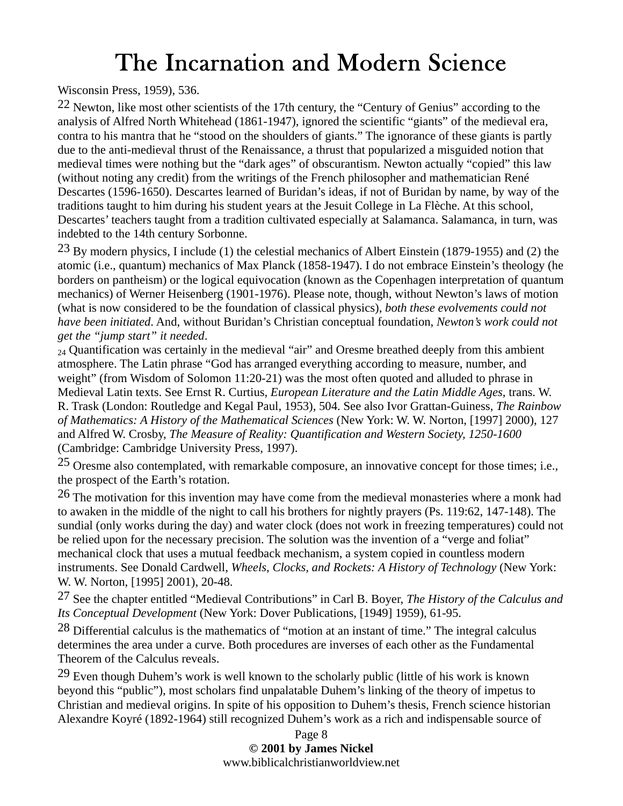Wisconsin Press, 1959), 536.

 $22$  Newton, like most other scientists of the 17th century, the "Century of Genius" according to the analysis of Alfred North Whitehead (1861-1947), ignored the scientific "giants" of the medieval era, contra to his mantra that he "stood on the shoulders of giants." The ignorance of these giants is partly due to the anti-medieval thrust of the Renaissance, a thrust that popularized a misguided notion that medieval times were nothing but the "dark ages" of obscurantism. Newton actually "copied" this law (without noting any credit) from the writings of the French philosopher and mathematician René Descartes (1596-1650). Descartes learned of Buridan's ideas, if not of Buridan by name, by way of the traditions taught to him during his student years at the Jesuit College in La Flèche. At this school, Descartes' teachers taught from a tradition cultivated especially at Salamanca. Salamanca, in turn, was indebted to the 14th century Sorbonne.

 $^{23}$  By modern physics, I include (1) the celestial mechanics of Albert Einstein (1879-1955) and (2) the atomic (i.e., quantum) mechanics of Max Planck (1858-1947). I do not embrace Einstein's theology (he borders on pantheism) or the logical equivocation (known as the Copenhagen interpretation of quantum mechanics) of Werner Heisenberg (1901-1976). Please note, though, without Newton's laws of motion (what is now considered to be the foundation of classical physics), *both these evolvements could not have been initiated*. And, without Buridan's Christian conceptual foundation, *Newton's work could not get the "jump start" it needed*.

<sub>24</sub> Quantification was certainly in the medieval "air" and Oresme breathed deeply from this ambient atmosphere. The Latin phrase "God has arranged everything according to measure, number, and weight" (from Wisdom of Solomon 11:20-21) was the most often quoted and alluded to phrase in Medieval Latin texts. See Ernst R. Curtius, *European Literature and the Latin Middle Ages*, trans. W. R. Trask (London: Routledge and Kegal Paul, 1953), 504. See also Ivor Grattan-Guiness, *The Rainbow of Mathematics: A History of the Mathematical Sciences* (New York: W. W. Norton, [1997] 2000), 127 and Alfred W. Crosby, *The Measure of Reality: Quantification and Western Society, 1250-1600* (Cambridge: Cambridge University Press, 1997).

25 Oresme also contemplated, with remarkable composure, an innovative concept for those times; i.e., the prospect of the Earth's rotation.

<sup>26</sup> The motivation for this invention may have come from the medieval monasteries where a monk had to awaken in the middle of the night to call his brothers for nightly prayers (Ps. 119:62, 147-148). The sundial (only works during the day) and water clock (does not work in freezing temperatures) could not be relied upon for the necessary precision. The solution was the invention of a "verge and foliat" mechanical clock that uses a mutual feedback mechanism, a system copied in countless modern instruments. See Donald Cardwell, *Wheels, Clocks, and Rockets: A History of Technology* (New York: W. W. Norton, [1995] 2001), 20-48.

27 See the chapter entitled "Medieval Contributions" in Carl B. Boyer, *The History of the Calculus and Its Conceptual Development* (New York: Dover Publications, [1949] 1959), 61-95.

28 Differential calculus is the mathematics of "motion at an instant of time." The integral calculus determines the area under a curve. Both procedures are inverses of each other as the Fundamental Theorem of the Calculus reveals.

 $29$  Even though Duhem's work is well known to the scholarly public (little of his work is known beyond this "public"), most scholars find unpalatable Duhem's linking of the theory of impetus to Christian and medieval origins. In spite of his opposition to Duhem's thesis, French science historian Alexandre Koyré (1892-1964) still recognized Duhem's work as a rich and indispensable source of

> Page 8 **© 2001 by James Nickel**  www.biblicalchristianworldview.net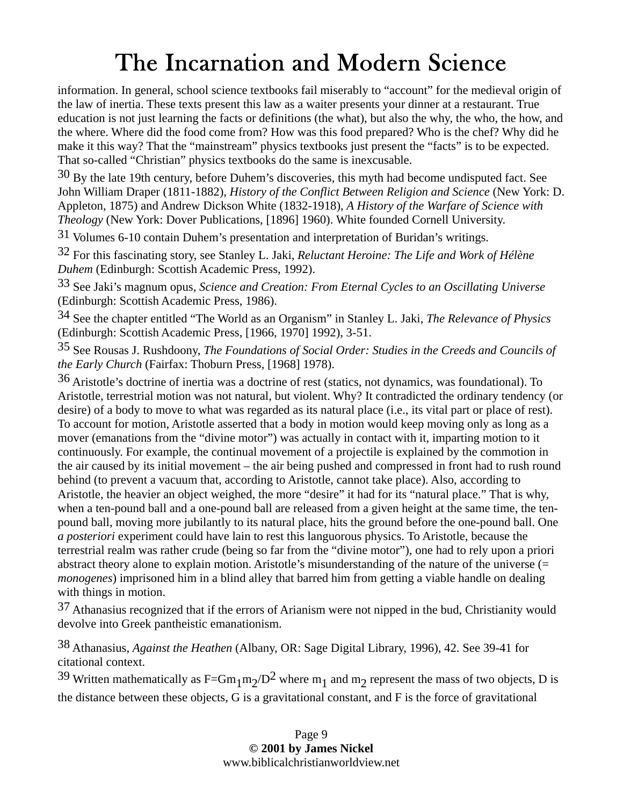information. In general, school science textbooks fail miserably to "account" for the medieval origin of the law of inertia. These texts present this law as a waiter presents your dinner at a restaurant. True education is not just learning the facts or definitions (the what), but also the why, the who, the how, and the where. Where did the food come from? How was this food prepared? Who is the chef? Why did he make it this way? That the "mainstream" physics textbooks just present the "facts" is to be expected. That so-called "Christian" physics textbooks do the same is inexcusable.

 $30$  By the late 19th century, before Duhem's discoveries, this myth had become undisputed fact. See John William Draper (1811-1882), *History of the Conflict Between Religion and Science* (New York: D. Appleton, 1875) and Andrew Dickson White (1832-1918), *A History of the Warfare of Science with Theology* (New York: Dover Publications, [1896] 1960). White founded Cornell University.

31 Volumes 6-10 contain Duhem's presentation and interpretation of Buridan's writings.

32 For this fascinating story, see Stanley L. Jaki, *Reluctant Heroine: The Life and Work of Hélène Duhem* (Edinburgh: Scottish Academic Press, 1992).

33 See Jaki's magnum opus, *Science and Creation: From Eternal Cycles to an Oscillating Universe* (Edinburgh: Scottish Academic Press, 1986).

34 See the chapter entitled "The World as an Organism" in Stanley L. Jaki, *The Relevance of Physics* (Edinburgh: Scottish Academic Press, [1966, 1970] 1992), 3-51.

35 See Rousas J. Rushdoony, *The Foundations of Social Order: Studies in the Creeds and Councils of the Early Church* (Fairfax: Thoburn Press, [1968] 1978).

36 Aristotle's doctrine of inertia was a doctrine of rest (statics, not dynamics, was foundational). To Aristotle, terrestrial motion was not natural, but violent. Why? It contradicted the ordinary tendency (or desire) of a body to move to what was regarded as its natural place (i.e., its vital part or place of rest). To account for motion, Aristotle asserted that a body in motion would keep moving only as long as a mover (emanations from the "divine motor") was actually in contact with it, imparting motion to it continuously. For example, the continual movement of a projectile is explained by the commotion in the air caused by its initial movement – the air being pushed and compressed in front had to rush round behind (to prevent a vacuum that, according to Aristotle, cannot take place). Also, according to Aristotle, the heavier an object weighed, the more "desire" it had for its "natural place." That is why, when a ten-pound ball and a one-pound ball are released from a given height at the same time, the tenpound ball, moving more jubilantly to its natural place, hits the ground before the one-pound ball. One *a posteriori* experiment could have lain to rest this languorous physics. To Aristotle, because the terrestrial realm was rather crude (being so far from the "divine motor"), one had to rely upon a priori abstract theory alone to explain motion. Aristotle's misunderstanding of the nature of the universe (= *monogenes*) imprisoned him in a blind alley that barred him from getting a viable handle on dealing with things in motion.

37 Athanasius recognized that if the errors of Arianism were not nipped in the bud, Christianity would devolve into Greek pantheistic emanationism.

38 Athanasius, *Against the Heathen* (Albany, OR: Sage Digital Library, 1996), 42. See 39-41 for citational context.

<sup>39</sup> Written mathematically as F=Gm<sub>1</sub>m<sub>2</sub>/D<sup>2</sup> where m<sub>1</sub> and m<sub>2</sub> represent the mass of two objects, D is the distance between these objects, G is a gravitational constant, and F is the force of gravitational